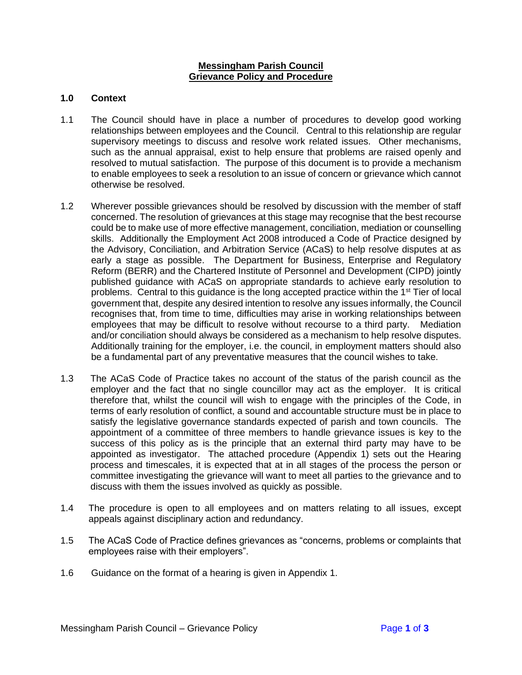#### **Messingham Parish Council Grievance Policy and Procedure**

# **1.0 Context**

- 1.1 The Council should have in place a number of procedures to develop good working relationships between employees and the Council. Central to this relationship are regular supervisory meetings to discuss and resolve work related issues. Other mechanisms, such as the annual appraisal, exist to help ensure that problems are raised openly and resolved to mutual satisfaction. The purpose of this document is to provide a mechanism to enable employees to seek a resolution to an issue of concern or grievance which cannot otherwise be resolved.
- 1.2 Wherever possible grievances should be resolved by discussion with the member of staff concerned. The resolution of grievances at this stage may recognise that the best recourse could be to make use of more effective management, conciliation, mediation or counselling skills. Additionally the Employment Act 2008 introduced a Code of Practice designed by the Advisory, Conciliation, and Arbitration Service (ACaS) to help resolve disputes at as early a stage as possible. The Department for Business, Enterprise and Regulatory Reform (BERR) and the Chartered Institute of Personnel and Development (CIPD) jointly published guidance with ACaS on appropriate standards to achieve early resolution to problems. Central to this quidance is the long accepted practice within the  $1<sup>st</sup>$  Tier of local government that, despite any desired intention to resolve any issues informally, the Council recognises that, from time to time, difficulties may arise in working relationships between employees that may be difficult to resolve without recourse to a third party. Mediation and/or conciliation should always be considered as a mechanism to help resolve disputes. Additionally training for the employer, i.e. the council, in employment matters should also be a fundamental part of any preventative measures that the council wishes to take.
- 1.3 The ACaS Code of Practice takes no account of the status of the parish council as the employer and the fact that no single councillor may act as the employer. It is critical therefore that, whilst the council will wish to engage with the principles of the Code, in terms of early resolution of conflict, a sound and accountable structure must be in place to satisfy the legislative governance standards expected of parish and town councils. The appointment of a committee of three members to handle grievance issues is key to the success of this policy as is the principle that an external third party may have to be appointed as investigator. The attached procedure (Appendix 1) sets out the Hearing process and timescales, it is expected that at in all stages of the process the person or committee investigating the grievance will want to meet all parties to the grievance and to discuss with them the issues involved as quickly as possible.
- 1.4 The procedure is open to all employees and on matters relating to all issues, except appeals against disciplinary action and redundancy.
- 1.5 The ACaS Code of Practice defines grievances as "concerns, problems or complaints that employees raise with their employers".
- 1.6 Guidance on the format of a hearing is given in Appendix 1.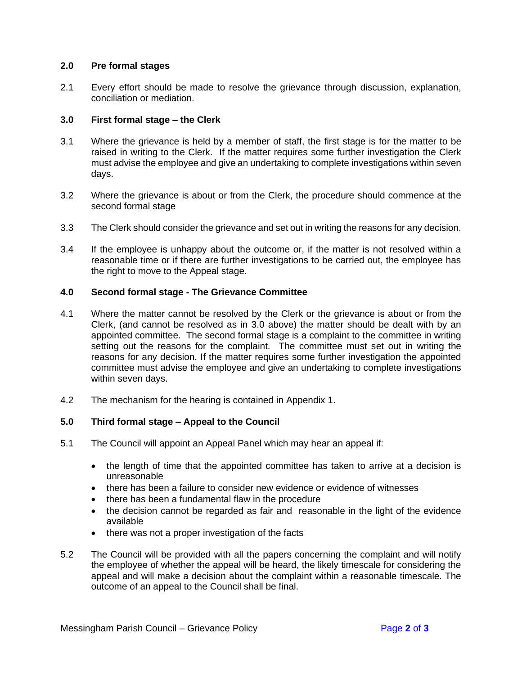# **2.0 Pre formal stages**

2.1 Every effort should be made to resolve the grievance through discussion, explanation, conciliation or mediation.

# **3.0 First formal stage – the Clerk**

- 3.1 Where the grievance is held by a member of staff, the first stage is for the matter to be raised in writing to the Clerk. If the matter requires some further investigation the Clerk must advise the employee and give an undertaking to complete investigations within seven days.
- 3.2 Where the grievance is about or from the Clerk, the procedure should commence at the second formal stage
- 3.3 The Clerk should consider the grievance and set out in writing the reasons for any decision.
- 3.4 If the employee is unhappy about the outcome or, if the matter is not resolved within a reasonable time or if there are further investigations to be carried out, the employee has the right to move to the Appeal stage.

# **4.0 Second formal stage - The Grievance Committee**

- 4.1 Where the matter cannot be resolved by the Clerk or the grievance is about or from the Clerk, (and cannot be resolved as in 3.0 above) the matter should be dealt with by an appointed committee. The second formal stage is a complaint to the committee in writing setting out the reasons for the complaint. The committee must set out in writing the reasons for any decision. If the matter requires some further investigation the appointed committee must advise the employee and give an undertaking to complete investigations within seven days.
- 4.2 The mechanism for the hearing is contained in Appendix 1.

# **5.0 Third formal stage – Appeal to the Council**

- 5.1 The Council will appoint an Appeal Panel which may hear an appeal if:
	- the length of time that the appointed committee has taken to arrive at a decision is unreasonable
	- there has been a failure to consider new evidence or evidence of witnesses
	- there has been a fundamental flaw in the procedure
	- the decision cannot be regarded as fair and reasonable in the light of the evidence available
	- there was not a proper investigation of the facts
- 5.2 The Council will be provided with all the papers concerning the complaint and will notify the employee of whether the appeal will be heard, the likely timescale for considering the appeal and will make a decision about the complaint within a reasonable timescale. The outcome of an appeal to the Council shall be final.